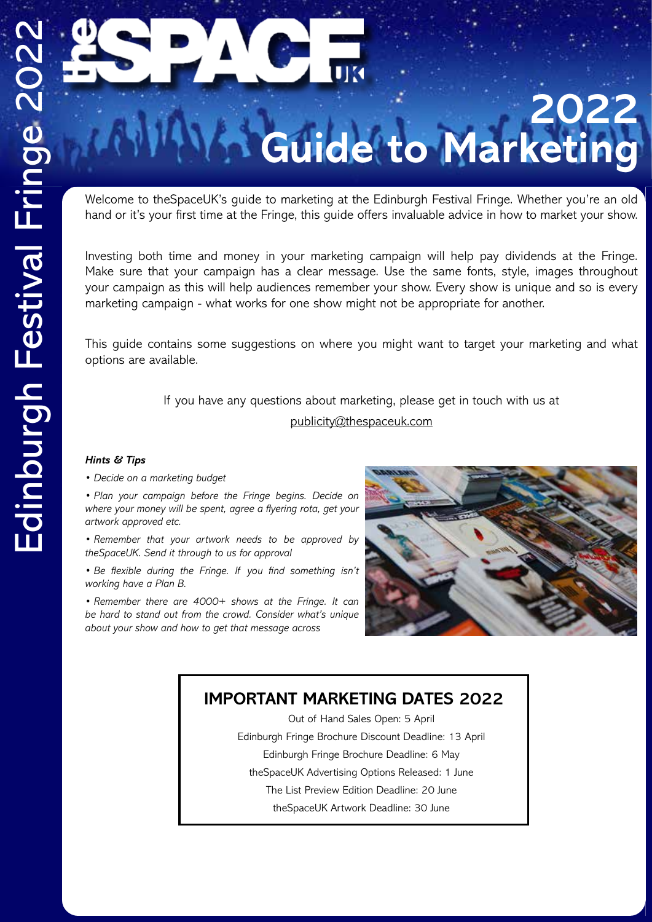# **2022 Guide to Marketing**

Welcome to theSpaceUK's guide to marketing at the Edinburgh Festival Fringe. Whether you're an old hand or it's your first time at the Fringe, this guide offers invaluable advice in how to market your show.

Investing both time and money in your marketing campaign will help pay dividends at the Fringe. Make sure that your campaign has a clear message. Use the same fonts, style, images throughout your campaign as this will help audiences remember your show. Every show is unique and so is every marketing campaign - what works for one show might not be appropriate for another.

This guide contains some suggestions on where you might want to target your marketing and what options are available.

> If you have any questions about marketing, please get in touch with us at publicity@thespaceuk.com

# *Hints & Tips*

*• Decide on a marketing budget* 

*• Plan your campaign before the Fringe begins. Decide on where your money will be spent, agree a flyering rota, get your artwork approved etc.*

*• Remember that your artwork needs to be approved by theSpaceUK. Send it through to us for approval* 

*• Be flexible during the Fringe. If you find something isn't working have a Plan B.*

*• Remember there are 4000+ shows at the Fringe. It can be hard to stand out from the crowd. Consider what's unique about your show and how to get that message across*



# **IMPORTANT MARKETING DATES 2022**

Out of Hand Sales Open: 5 April Edinburgh Fringe Brochure Discount Deadline: 13 April Edinburgh Fringe Brochure Deadline: 6 May theSpaceUK Advertising Options Released: 1 June The List Preview Edition Deadline: 20 June theSpaceUK Artwork Deadline: 30 June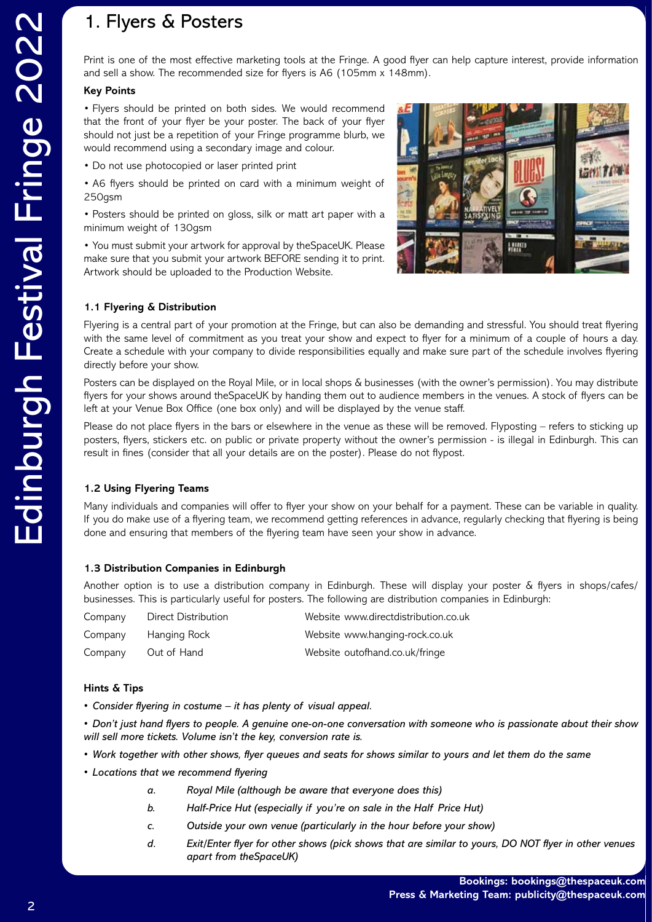Print is one of the most effective marketing tools at the Fringe. A good flyer can help capture interest, provide information and sell a show. The recommended size for flyers is A6 (105mm x 148mm).

# **Key Points**

• Flyers should be printed on both sides. We would recommend that the front of your flyer be your poster. The back of your flyer should not just be a repetition of your Fringe programme blurb, we would recommend using a secondary image and colour.

- Do not use photocopied or laser printed print
- A6 flyers should be printed on card with a minimum weight of 250gsm

• Posters should be printed on gloss, silk or matt art paper with a minimum weight of 130gsm

• You must submit your artwork for approval by theSpaceUK. Please make sure that you submit your artwork BEFORE sending it to print. Artwork should be uploaded to the Production Website.



# **1.1 Flyering & Distribution**

Flyering is a central part of your promotion at the Fringe, but can also be demanding and stressful. You should treat flyering with the same level of commitment as you treat your show and expect to flyer for a minimum of a couple of hours a day. Create a schedule with your company to divide responsibilities equally and make sure part of the schedule involves flyering directly before your show.

Posters can be displayed on the Royal Mile, or in local shops & businesses (with the owner's permission). You may distribute flyers for your shows around theSpaceUK by handing them out to audience members in the venues. A stock of flyers can be left at your Venue Box Office (one box only) and will be displayed by the venue staff.

Please do not place flyers in the bars or elsewhere in the venue as these will be removed. Flyposting – refers to sticking up posters, flyers, stickers etc. on public or private property without the owner's permission - is illegal in Edinburgh. This can result in fines (consider that all your details are on the poster). Please do not flypost.

# **1.2 Using Flyering Teams**

Many individuals and companies will offer to flyer your show on your behalf for a payment. These can be variable in quality. If you do make use of a flyering team, we recommend getting references in advance, regularly checking that flyering is being done and ensuring that members of the flyering team have seen your show in advance.

# **1.3 Distribution Companies in Edinburgh**

Another option is to use a distribution company in Edinburgh. These will display your poster & flyers in shops/cafes/ businesses. This is particularly useful for posters. The following are distribution companies in Edinburgh:

| Company | <b>Direct Distribution</b> | Website www.directdistribution.co.uk |
|---------|----------------------------|--------------------------------------|
| Company | Hanging Rock               | Website www.hanging-rock.co.uk       |
| Company | Out of Hand                | Website outofhand.co.uk/fringe       |

# **Hints & Tips**

*• Consider flyering in costume – it has plenty of visual appeal.*

*• Don't just hand flyers to people. A genuine one-on-one conversation with someone who is passionate about their show will sell more tickets. Volume isn't the key, conversion rate is.*

- *• Work together with other shows, flyer queues and seats for shows similar to yours and let them do the same*
- *• Locations that we recommend flyering*
	- *a. Royal Mile (although be aware that everyone does this)*
	- *b. Half-Price Hut (especially if you're on sale in the Half Price Hut)*
	- *c. Outside your own venue (particularly in the hour before your show)*
	- *d. Exit/Enter flyer for other shows (pick shows that are similar to yours, DO NOT flyer in other venues apart from theSpaceUK)*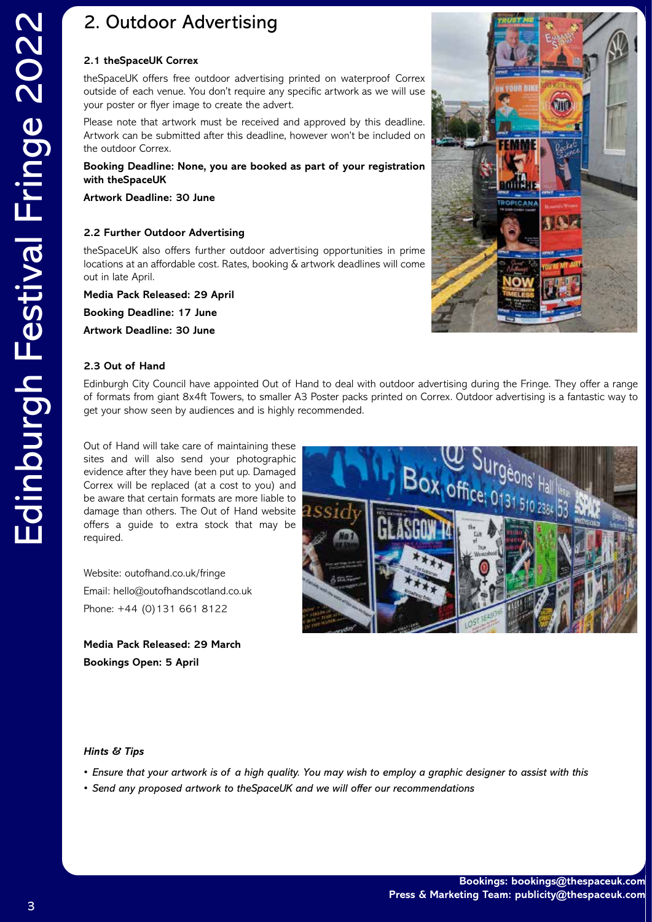# 2. Outdoor Advertising

## **2.1 theSpaceUK Correx**

theSpaceUK offers free outdoor advertising printed on waterproof Correx outside of each venue. You don't require any specific artwork as we will use your poster or flyer image to create the advert.

Please note that artwork must be received and approved by this deadline. Artwork can be submitted after this deadline, however won't be included on the outdoor Correx.

**Booking Deadline: None, you are booked as part of your registration with theSpaceUK**

**Artwork Deadline: 30 June**

# **2.2 Further Outdoor Advertising**

theSpaceUK also offers further outdoor advertising opportunities in prime locations at an affordable cost. Rates, booking & artwork deadlines will come out in late April.

**Media Pack Released: 29 April Booking Deadline: 17 June Artwork Deadline: 30 June**



# **2.3 Out of Hand**

Edinburgh City Council have appointed Out of Hand to deal with outdoor advertising during the Fringe. They offer a range of formats from giant 8x4ft Towers, to smaller A3 Poster packs printed on Correx. Outdoor advertising is a fantastic way to get your show seen by audiences and is highly recommended.

Out of Hand will take care of maintaining these sites and will also send your photographic evidence after they have been put up. Damaged Correx will be replaced (at a cost to you) and be aware that certain formats are more liable to damage than others. The Out of Hand website offers a guide to extra stock that may be required.

Website: outofhand.co.uk/fringe Email: hello@outofhandscotland.co.uk Phone: +44 (0)131 661 8122

**Media Pack Released: 29 March Bookings Open: 5 April**



#### *Hints & Tips*

- *• Ensure that your artwork is of a high quality. You may wish to employ a graphic designer to assist with this*
- *• Send any proposed artwork to theSpaceUK and we will offer our recommendations*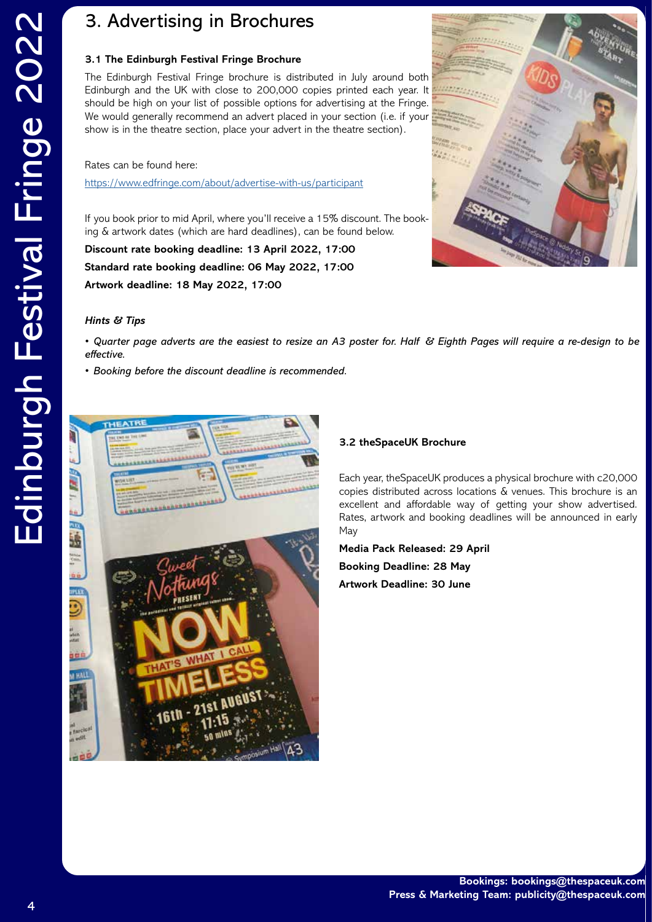# 3. Advertising in Brochures

### **3.1 The Edinburgh Festival Fringe Brochure**

The Edinburgh Festival Fringe brochure is distributed in July around both Edinburgh and the UK with close to 200,000 copies printed each year. It should be high on your list of possible options for advertising at the Fringe. We would generally recommend an advert placed in your section (i.e. if your show is in the theatre section, place your advert in the theatre section).

Rates can be found here:

https://www.edfringe.com/about/advertise-with-us/participant

If you book prior to mid April, where you'll receive a 15% discount. The booking & artwork dates (which are hard deadlines), can be found below.

**Discount rate booking deadline: 13 April 2022, 17:00 Standard rate booking deadline: 06 May 2022, 17:00 Artwork deadline: 18 May 2022, 17:00**



#### *Hints & Tips*

*• Quarter page adverts are the easiest to resize an A3 poster for. Half & Eighth Pages will require a re-design to be effective.*

*• Booking before the discount deadline is recommended.* 



#### **3.2 theSpaceUK Brochure**

Each year, theSpaceUK produces a physical brochure with c20,000 copies distributed across locations & venues. This brochure is an excellent and affordable way of getting your show advertised. Rates, artwork and booking deadlines will be announced in early May

**Media Pack Released: 29 April Booking Deadline: 28 May Artwork Deadline: 30 June**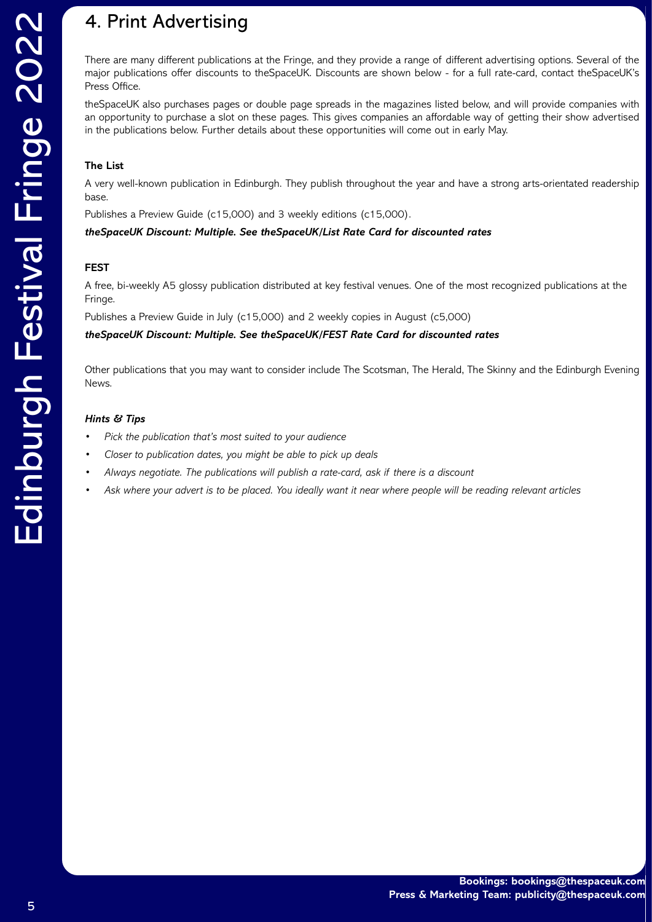# 4. Print Advertising

There are many different publications at the Fringe, and they provide a range of different advertising options. Several of the major publications offer discounts to theSpaceUK. Discounts are shown below - for a full rate-card, contact theSpaceUK's Press Office.

theSpaceUK also purchases pages or double page spreads in the magazines listed below, and will provide companies with an opportunity to purchase a slot on these pages. This gives companies an affordable way of getting their show advertised in the publications below. Further details about these opportunities will come out in early May.

# **The List**

A very well-known publication in Edinburgh. They publish throughout the year and have a strong arts-orientated readership base.

Publishes a Preview Guide (c15,000) and 3 weekly editions (c15,000).

*theSpaceUK Discount: Multiple. See theSpaceUK/List Rate Card for discounted rates*

# **FEST**

A free, bi-weekly A5 glossy publication distributed at key festival venues. One of the most recognized publications at the Fringe.

Publishes a Preview Guide in July (c15,000) and 2 weekly copies in August (c5,000)

*theSpaceUK Discount: Multiple. See theSpaceUK/FEST Rate Card for discounted rates*

Other publications that you may want to consider include The Scotsman, The Herald, The Skinny and the Edinburgh Evening News.

# *Hints & Tips*

- *• Pick the publication that's most suited to your audience*
- *• Closer to publication dates, you might be able to pick up deals*
- *• Always negotiate. The publications will publish a rate-card, ask if there is a discount*
- *• Ask where your advert is to be placed. You ideally want it near where people will be reading relevant articles*